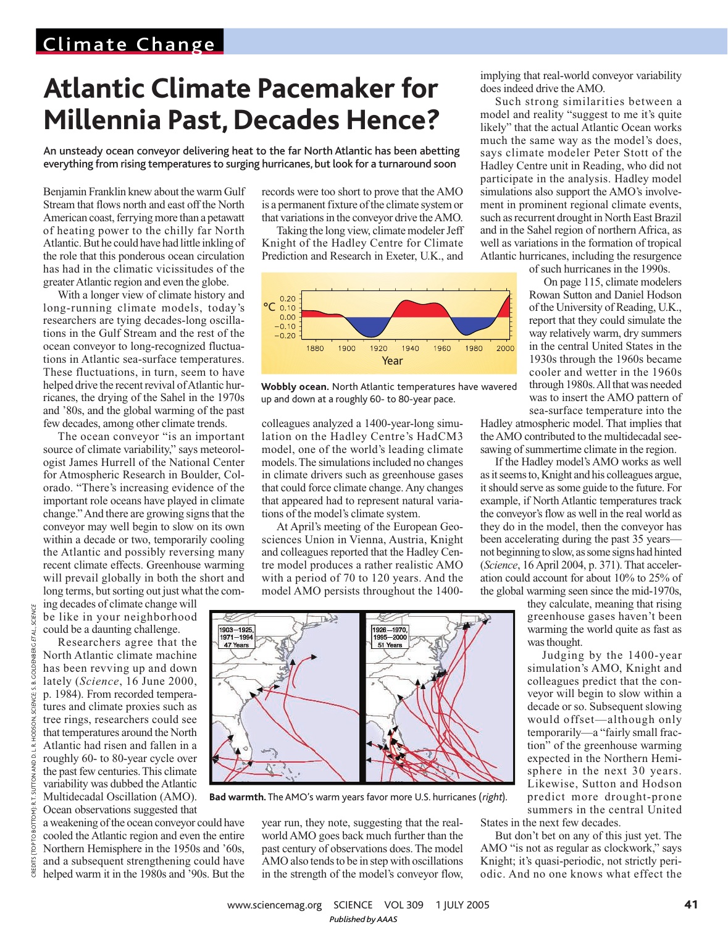## Climate Change

## **Atlantic Climate Pacemaker for Millennia Past, Decades Hence?**

An unsteady ocean conveyor delivering heat to the far North Atlantic has been abetting everything from rising temperatures to surging hurricanes, but look for a turnaround soon

Benjamin Franklin knew about the warm Gulf Stream that flows north and east off the North American coast, ferrying more than a petawatt of heating power to the chilly far North Atlantic.But he could have had little inkling of the role that this ponderous ocean circulation has had in the climatic vicissitudes of the greaterAtlantic region and even the globe.

With a longer view of climate history and long-running climate models, today's researchers are tying decades-long oscillations in the Gulf Stream and the rest of the ocean conveyor to long-recognized fluctuations in Atlantic sea-surface temperatures. These fluctuations, in turn, seem to have helped drive the recent revival of Atlantic hurricanes, the drying of the Sahel in the 1970s and '80s, and the global warming of the past few decades, among other climate trends.

The ocean conveyor "is an important source of climate variability," says meteorologist James Hurrell of the National Center for Atmospheric Research in Boulder, Colorado. "There's increasing evidence of the important role oceans have played in climate change." And there are growing signs that the conveyor may well begin to slow on its own within a decade or two, temporarily cooling the Atlantic and possibly reversing many recent climate effects. Greenhouse warming will prevail globally in both the short and long terms, but sorting out just what the com-

ing decades of climate change will be like in your neighborhood could be a daunting challenge.

records were too short to prove that the AMO is a permanent fixture of the climate system or that variations in the conveyor drive the AMO.

Taking the long view, climate modeler Jeff Knight of the Hadley Centre for Climate Prediction and Research in Exeter, U.K., and



**Wobbly ocean.** North Atlantic temperatures have wavered up and down at a roughly 60- to 80-year pace.

colleagues analyzed a 1400-year-long simulation on the Hadley Centre's HadCM3 model, one of the world's leading climate models. The simulations included no changes in climate drivers such as greenhouse gases that could force climate change.Any changes that appeared had to represent natural variations of the model's climate system.

At April's meeting of the European Geosciences Union in Vienna, Austria, Knight and colleagues reported that the Hadley Centre model produces a rather realistic AMO with a period of 70 to 120 years. And the model AMO persists throughout the 1400-

Researchers agree that the

North Atlantic climate machine has been revving up and down lately (*Science*, 16 June 2000, p. 1984). From recorded temperatures and climate proxies such as tree rings, researchers could see that temperatures around the North Atlantic had risen and fallen in a roughly 60- to 80-year cycle over the past few centuries.This climate variability was dubbed the Atlantic Multidecadal Oscillation (AMO). Ocean observations suggested that

a weakening of the ocean conveyor could have cooled the Atlantic region and even the entire Northern Hemisphere in the 1950s and '60s, and a subsequent strengthening could have helped warm it in the 1980s and '90s. But the



**Bad warmth.** The AMO's warm years favor more U.S. hurricanes (right).

year run, they note, suggesting that the realworld AMO goes back much further than the past century of observations does.The model AMO also tends to be in step with oscillations in the strength of the model's conveyor flow,

implying that real-world conveyor variability does indeed drive theAMO.

Such strong similarities between a model and reality "suggest to me it's quite likely" that the actual Atlantic Ocean works much the same way as the model's does, says climate modeler Peter Stott of the Hadley Centre unit in Reading, who did not participate in the analysis. Hadley model simulations also support the AMO's involvement in prominent regional climate events, such as recurrent drought in North East Brazil and in the Sahel region of northern Africa, as well as variations in the formation of tropical Atlantic hurricanes, including the resurgence

of such hurricanes in the 1990s.

On page 115, climate modelers Rowan Sutton and Daniel Hodson of the University of Reading, U.K., report that they could simulate the way relatively warm, dry summers in the central United States in the 1930s through the 1960s became cooler and wetter in the 1960s through 1980s.All that was needed was to insert the AMO pattern of sea-surface temperature into the

Hadley atmospheric model. That implies that the AMO contributed to the multidecadal seesawing of summertime climate in the region.

If the Hadley model's AMO works as well as it seems to, Knight and his colleagues argue, it should serve as some guide to the future. For example, if North Atlantic temperatures track the conveyor's flow as well in the real world as they do in the model, then the conveyor has been accelerating during the past 35 years not beginning to slow, as some signs had hinted (*Science*, 16April 2004, p. 371).That acceleration could account for about 10% to 25% of the global warming seen since the mid-1970s,

they calculate, meaning that rising greenhouse gases haven't been warming the world quite as fast as was thought.

Judging by the 1400-year simulation's AMO, Knight and colleagues predict that the conveyor will begin to slow within a decade or so. Subsequent slowing would offset—although only temporarily—a "fairly small fraction" of the greenhouse warming expected in the Northern Hemisphere in the next 30 years. Likewise, Sutton and Hodson predict more drought-prone summers in the central United

States in the next few decades.

But don't bet on any of this just yet. The AMO "is not as regular as clockwork," says Knight; it's quasi-periodic, not strictly periodic. And no one knows what effect the